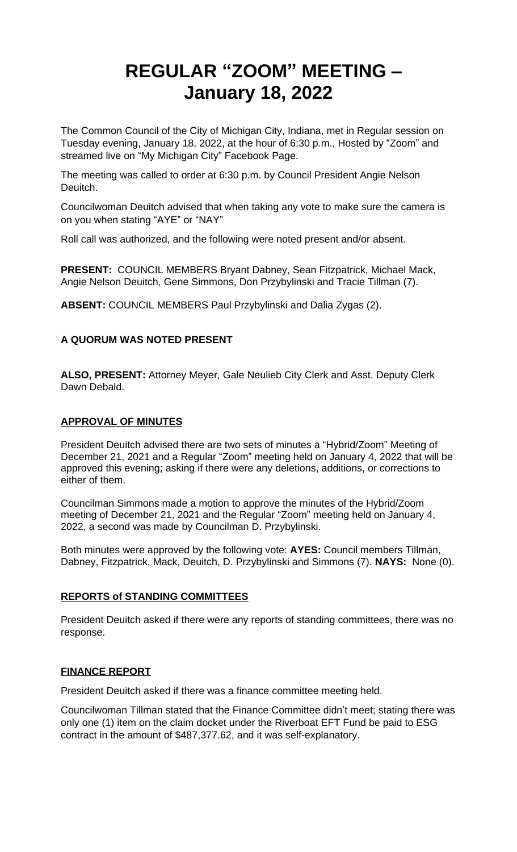# **REGULAR "ZOOM" MEETING – January 18, 2022**

The Common Council of the City of Michigan City, Indiana, met in Regular session on Tuesday evening, January 18, 2022, at the hour of 6:30 p.m., Hosted by "Zoom" and streamed live on "My Michigan City" Facebook Page.

The meeting was called to order at 6:30 p.m. by Council President Angie Nelson Deuitch.

Councilwoman Deuitch advised that when taking any vote to make sure the camera is on you when stating "AYE" or "NAY"

Roll call was authorized, and the following were noted present and/or absent.

**PRESENT:** COUNCIL MEMBERS Bryant Dabney, Sean Fitzpatrick, Michael Mack, Angie Nelson Deuitch, Gene Simmons, Don Przybylinski and Tracie Tillman (7).

**ABSENT:** COUNCIL MEMBERS Paul Przybylinski and Dalia Zygas (2).

# **A QUORUM WAS NOTED PRESENT**

**ALSO, PRESENT:** Attorney Meyer, Gale Neulieb City Clerk and Asst. Deputy Clerk Dawn Debald.

#### **APPROVAL OF MINUTES**

President Deuitch advised there are two sets of minutes a "Hybrid/Zoom" Meeting of December 21, 2021 and a Regular "Zoom" meeting held on January 4, 2022 that will be approved this evening; asking if there were any deletions, additions, or corrections to either of them.

Councilman Simmons made a motion to approve the minutes of the Hybrid/Zoom meeting of December 21, 2021 and the Regular "Zoom" meeting held on January 4, 2022, a second was made by Councilman D. Przybylinski.

Both minutes were approved by the following vote: **AYES:** Council members Tillman, Dabney, Fitzpatrick, Mack, Deuitch, D. Przybylinski and Simmons (7). **NAYS:** None (0).

#### **REPORTS of STANDING COMMITTEES**

President Deuitch asked if there were any reports of standing committees, there was no response.

#### **FINANCE REPORT**

President Deuitch asked if there was a finance committee meeting held.

Councilwoman Tillman stated that the Finance Committee didn't meet; stating there was only one (1) item on the claim docket under the Riverboat EFT Fund be paid to ESG contract in the amount of \$487,377.62, and it was self-explanatory.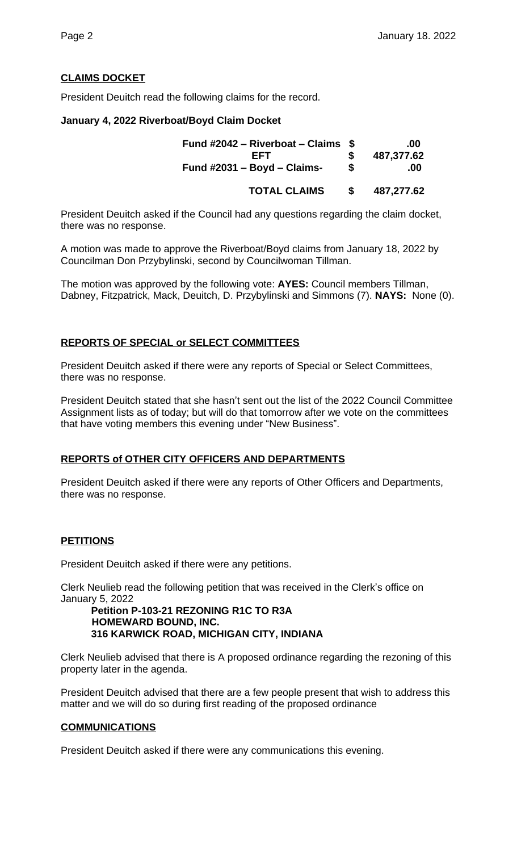# **CLAIMS DOCKET**

President Deuitch read the following claims for the record.

#### **January 4, 2022 Riverboat/Boyd Claim Docket**

| Fund #2042 – Riverboat – Claims $$$<br><b>FFT</b><br>Fund $\#2031 - Boyd - Claims$ - | S  | .00<br>487,377.62<br>.00 |
|--------------------------------------------------------------------------------------|----|--------------------------|
| <b>TOTAL CLAIMS</b>                                                                  | S. | 487,277.62               |

President Deuitch asked if the Council had any questions regarding the claim docket, there was no response.

A motion was made to approve the Riverboat/Boyd claims from January 18, 2022 by Councilman Don Przybylinski, second by Councilwoman Tillman.

The motion was approved by the following vote: **AYES:** Council members Tillman, Dabney, Fitzpatrick, Mack, Deuitch, D. Przybylinski and Simmons (7). **NAYS:** None (0).

#### **REPORTS OF SPECIAL or SELECT COMMITTEES**

President Deuitch asked if there were any reports of Special or Select Committees, there was no response.

President Deuitch stated that she hasn't sent out the list of the 2022 Council Committee Assignment lists as of today; but will do that tomorrow after we vote on the committees that have voting members this evening under "New Business".

#### **REPORTS of OTHER CITY OFFICERS AND DEPARTMENTS**

President Deuitch asked if there were any reports of Other Officers and Departments, there was no response.

#### **PETITIONS**

President Deuitch asked if there were any petitions.

Clerk Neulieb read the following petition that was received in the Clerk's office on January 5, 2022

#### **Petition P-103-21 REZONING R1C TO R3A HOMEWARD BOUND, INC. 316 KARWICK ROAD, MICHIGAN CITY, INDIANA**

Clerk Neulieb advised that there is A proposed ordinance regarding the rezoning of this property later in the agenda.

President Deuitch advised that there are a few people present that wish to address this matter and we will do so during first reading of the proposed ordinance

#### **COMMUNICATIONS**

President Deuitch asked if there were any communications this evening.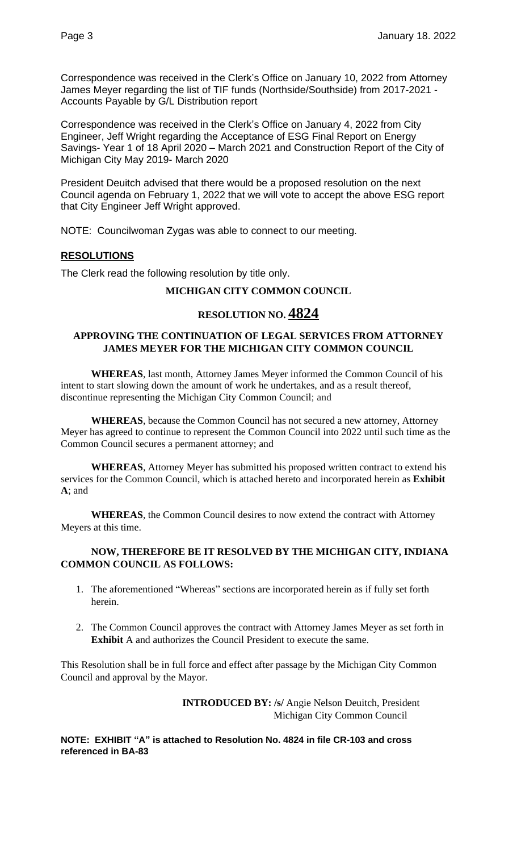Correspondence was received in the Clerk's Office on January 10, 2022 from Attorney James Meyer regarding the list of TIF funds (Northside/Southside) from 2017-2021 - Accounts Payable by G/L Distribution report

Correspondence was received in the Clerk's Office on January 4, 2022 from City Engineer, Jeff Wright regarding the Acceptance of ESG Final Report on Energy Savings- Year 1 of 18 April 2020 – March 2021 and Construction Report of the City of Michigan City May 2019- March 2020

President Deuitch advised that there would be a proposed resolution on the next Council agenda on February 1, 2022 that we will vote to accept the above ESG report that City Engineer Jeff Wright approved.

NOTE: Councilwoman Zygas was able to connect to our meeting.

#### **RESOLUTIONS**

The Clerk read the following resolution by title only.

## **MICHIGAN CITY COMMON COUNCIL**

# **RESOLUTION NO. 4824**

#### **APPROVING THE CONTINUATION OF LEGAL SERVICES FROM ATTORNEY JAMES MEYER FOR THE MICHIGAN CITY COMMON COUNCIL**

**WHEREAS**, last month, Attorney James Meyer informed the Common Council of his intent to start slowing down the amount of work he undertakes, and as a result thereof, discontinue representing the Michigan City Common Council; and

**WHEREAS**, because the Common Council has not secured a new attorney, Attorney Meyer has agreed to continue to represent the Common Council into 2022 until such time as the Common Council secures a permanent attorney; and

**WHEREAS**, Attorney Meyer has submitted his proposed written contract to extend his services for the Common Council, which is attached hereto and incorporated herein as **Exhibit A**; and

**WHEREAS**, the Common Council desires to now extend the contract with Attorney Meyers at this time.

#### **NOW, THEREFORE BE IT RESOLVED BY THE MICHIGAN CITY, INDIANA COMMON COUNCIL AS FOLLOWS:**

- 1. The aforementioned "Whereas" sections are incorporated herein as if fully set forth herein.
- 2. The Common Council approves the contract with Attorney James Meyer as set forth in **Exhibit** A and authorizes the Council President to execute the same.

This Resolution shall be in full force and effect after passage by the Michigan City Common Council and approval by the Mayor.

> **INTRODUCED BY: /s/** Angie Nelson Deuitch, President Michigan City Common Council

**NOTE: EXHIBIT "A" is attached to Resolution No. 4824 in file CR-103 and cross referenced in BA-83**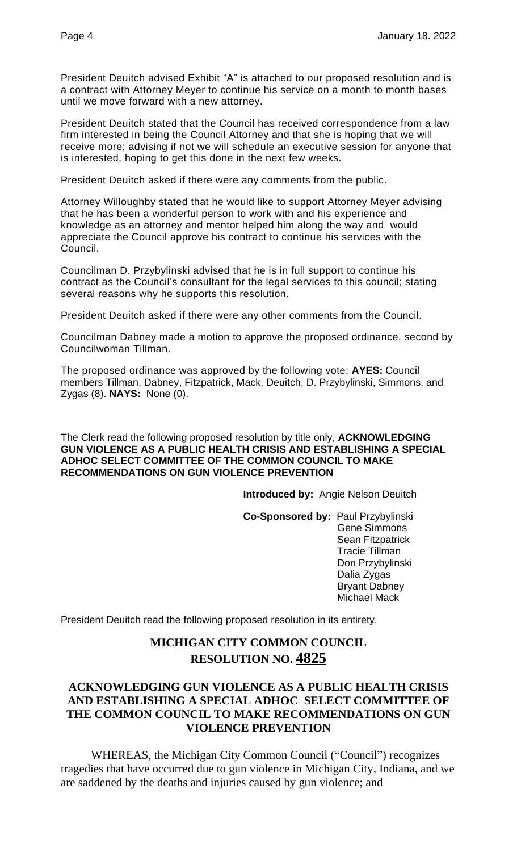President Deuitch advised Exhibit "A" is attached to our proposed resolution and is a contract with Attorney Meyer to continue his service on a month to month bases until we move forward with a new attorney.

President Deuitch stated that the Council has received correspondence from a law firm interested in being the Council Attorney and that she is hoping that we will receive more; advising if not we will schedule an executive session for anyone that is interested, hoping to get this done in the next few weeks.

President Deuitch asked if there were any comments from the public.

Attorney Willoughby stated that he would like to support Attorney Meyer advising that he has been a wonderful person to work with and his experience and knowledge as an attorney and mentor helped him along the way and would appreciate the Council approve his contract to continue his services with the Council.

Councilman D. Przybylinski advised that he is in full support to continue his contract as the Council's consultant for the legal services to this council; stating several reasons why he supports this resolution.

President Deuitch asked if there were any other comments from the Council.

Councilman Dabney made a motion to approve the proposed ordinance, second by Councilwoman Tillman.

The proposed ordinance was approved by the following vote: **AYES:** Council members Tillman, Dabney, Fitzpatrick, Mack, Deuitch, D. Przybylinski, Simmons, and Zygas (8). **NAYS:** None (0).

The Clerk read the following proposed resolution by title only, **ACKNOWLEDGING GUN VIOLENCE AS A PUBLIC HEALTH CRISIS AND ESTABLISHING A SPECIAL ADHOC SELECT COMMITTEE OF THE COMMON COUNCIL TO MAKE RECOMMENDATIONS ON GUN VIOLENCE PREVENTION**

**Introduced by:** Angie Nelson Deuitch

**Co-Sponsored by:** Paul Przybylinski Gene Simmons Sean Fitzpatrick Tracie Tillman Don Przybylinski Dalia Zygas Bryant Dabney Michael Mack

President Deuitch read the following proposed resolution in its entirety.

# **MICHIGAN CITY COMMON COUNCIL RESOLUTION NO. 4825**

# **ACKNOWLEDGING GUN VIOLENCE AS A PUBLIC HEALTH CRISIS AND ESTABLISHING A SPECIAL ADHOC SELECT COMMITTEE OF THE COMMON COUNCIL TO MAKE RECOMMENDATIONS ON GUN VIOLENCE PREVENTION**

WHEREAS, the Michigan City Common Council ("Council") recognizes tragedies that have occurred due to gun violence in Michigan City, Indiana, and we are saddened by the deaths and injuries caused by gun violence; and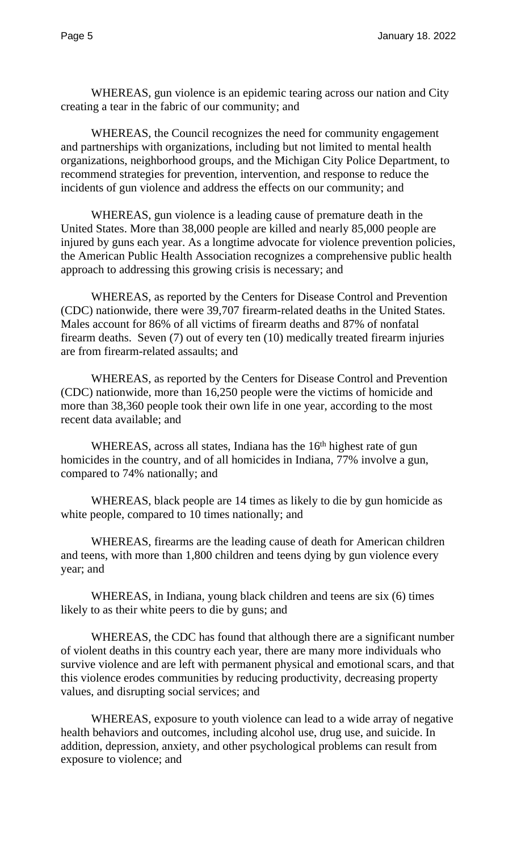WHEREAS, gun violence is an epidemic tearing across our nation and City creating a tear in the fabric of our community; and

WHEREAS, the Council recognizes the need for community engagement and partnerships with organizations, including but not limited to mental health organizations, neighborhood groups, and the Michigan City Police Department, to recommend strategies for prevention, intervention, and response to reduce the incidents of gun violence and address the effects on our community; and

WHEREAS, gun violence is a leading cause of premature death in the United States. More than 38,000 people are killed and nearly 85,000 people are injured by guns each year. As a longtime advocate for violence prevention policies, the American Public Health Association recognizes a comprehensive public health approach to addressing this growing crisis is necessary; and

WHEREAS, as reported by the Centers for Disease Control and Prevention (CDC) nationwide, there were 39,707 firearm-related deaths in the United States. Males account for 86% of all victims of firearm deaths and 87% of nonfatal firearm deaths. Seven (7) out of every ten (10) medically treated firearm injuries are from firearm-related assaults; and

WHEREAS, as reported by the Centers for Disease Control and Prevention (CDC) nationwide, more than 16,250 people were the victims of homicide and more than 38,360 people took their own life in one year, according to the most recent data available; and

WHEREAS, across all states, Indiana has the 16<sup>th</sup> highest rate of gun homicides in the country, and of all homicides in Indiana, 77% involve a gun, compared to 74% nationally; and

WHEREAS, black people are 14 times as likely to die by gun homicide as white people, compared to 10 times nationally; and

WHEREAS, firearms are the leading cause of death for American children and teens, with more than 1,800 children and teens dying by gun violence every year; and

WHEREAS, in Indiana, young black children and teens are six (6) times likely to as their white peers to die by guns; and

WHEREAS, the CDC has found that although there are a significant number of violent deaths in this country each year, there are many more individuals who survive violence and are left with permanent physical and emotional scars, and that this violence erodes communities by reducing productivity, decreasing property values, and disrupting social services; and

WHEREAS, exposure to youth violence can lead to a wide array of negative health behaviors and outcomes, including alcohol use, drug use, and suicide. In addition, depression, anxiety, and other psychological problems can result from exposure to violence; and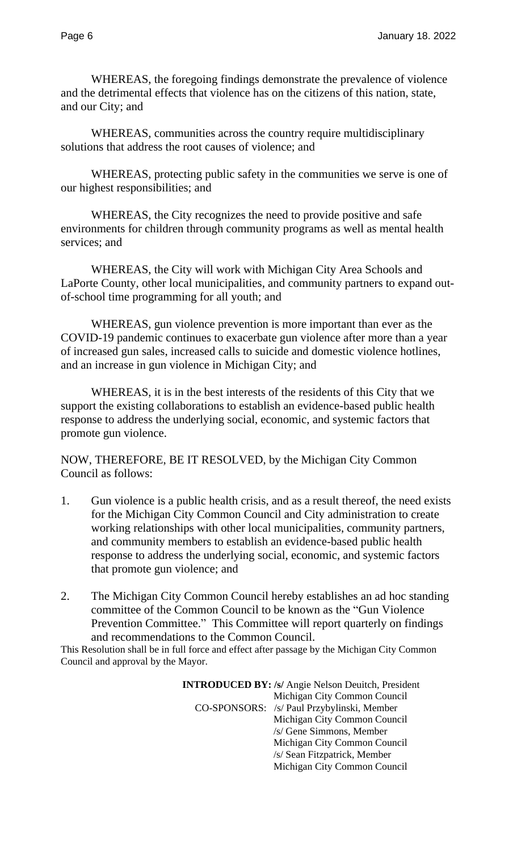WHEREAS, the foregoing findings demonstrate the prevalence of violence and the detrimental effects that violence has on the citizens of this nation, state, and our City; and

WHEREAS, communities across the country require multidisciplinary solutions that address the root causes of violence; and

WHEREAS, protecting public safety in the communities we serve is one of our highest responsibilities; and

WHEREAS, the City recognizes the need to provide positive and safe environments for children through community programs as well as mental health services; and

WHEREAS, the City will work with Michigan City Area Schools and LaPorte County, other local municipalities, and community partners to expand outof-school time programming for all youth; and

WHEREAS, gun violence prevention is more important than ever as the COVID-19 pandemic continues to exacerbate gun violence after more than a year of increased gun sales, increased calls to suicide and domestic violence hotlines, and an increase in gun violence in Michigan City; and

WHEREAS, it is in the best interests of the residents of this City that we support the existing collaborations to establish an evidence-based public health response to address the underlying social, economic, and systemic factors that promote gun violence.

NOW, THEREFORE, BE IT RESOLVED, by the Michigan City Common Council as follows:

- 1. Gun violence is a public health crisis, and as a result thereof, the need exists for the Michigan City Common Council and City administration to create working relationships with other local municipalities, community partners, and community members to establish an evidence-based public health response to address the underlying social, economic, and systemic factors that promote gun violence; and
- 2. The Michigan City Common Council hereby establishes an ad hoc standing committee of the Common Council to be known as the "Gun Violence Prevention Committee." This Committee will report quarterly on findings and recommendations to the Common Council.

This Resolution shall be in full force and effect after passage by the Michigan City Common Council and approval by the Mayor.

> **INTRODUCED BY: /s/** Angie Nelson Deuitch, President Michigan City Common Council CO-SPONSORS: /s/ Paul Przybylinski, Member Michigan City Common Council /s/ Gene Simmons, Member Michigan City Common Council /s/ Sean Fitzpatrick, Member Michigan City Common Council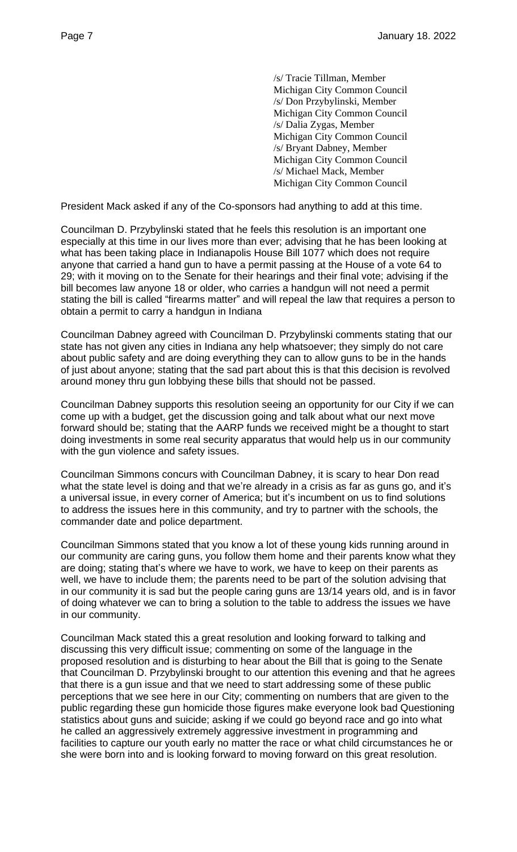/s/ Tracie Tillman, Member Michigan City Common Council /s/ Don Przybylinski, Member Michigan City Common Council /s/ Dalia Zygas, Member Michigan City Common Council /s/ Bryant Dabney, Member Michigan City Common Council /s/ Michael Mack, Member Michigan City Common Council

President Mack asked if any of the Co-sponsors had anything to add at this time.

Councilman D. Przybylinski stated that he feels this resolution is an important one especially at this time in our lives more than ever; advising that he has been looking at what has been taking place in Indianapolis House Bill 1077 which does not require anyone that carried a hand gun to have a permit passing at the House of a vote 64 to 29; with it moving on to the Senate for their hearings and their final vote; advising if the bill becomes law anyone 18 or older, who carries a handgun will not need a permit stating the bill is called "firearms matter" and will repeal the law that requires a person to obtain a permit to carry a handgun in Indiana

Councilman Dabney agreed with Councilman D. Przybylinski comments stating that our state has not given any cities in Indiana any help whatsoever; they simply do not care about public safety and are doing everything they can to allow guns to be in the hands of just about anyone; stating that the sad part about this is that this decision is revolved around money thru gun lobbying these bills that should not be passed.

Councilman Dabney supports this resolution seeing an opportunity for our City if we can come up with a budget, get the discussion going and talk about what our next move forward should be; stating that the AARP funds we received might be a thought to start doing investments in some real security apparatus that would help us in our community with the gun violence and safety issues.

Councilman Simmons concurs with Councilman Dabney, it is scary to hear Don read what the state level is doing and that we're already in a crisis as far as guns go, and it's a universal issue, in every corner of America; but it's incumbent on us to find solutions to address the issues here in this community, and try to partner with the schools, the commander date and police department.

Councilman Simmons stated that you know a lot of these young kids running around in our community are caring guns, you follow them home and their parents know what they are doing; stating that's where we have to work, we have to keep on their parents as well, we have to include them; the parents need to be part of the solution advising that in our community it is sad but the people caring guns are 13/14 years old, and is in favor of doing whatever we can to bring a solution to the table to address the issues we have in our community.

Councilman Mack stated this a great resolution and looking forward to talking and discussing this very difficult issue; commenting on some of the language in the proposed resolution and is disturbing to hear about the Bill that is going to the Senate that Councilman D. Przybylinski brought to our attention this evening and that he agrees that there is a gun issue and that we need to start addressing some of these public perceptions that we see here in our City; commenting on numbers that are given to the public regarding these gun homicide those figures make everyone look bad Questioning statistics about guns and suicide; asking if we could go beyond race and go into what he called an aggressively extremely aggressive investment in programming and facilities to capture our youth early no matter the race or what child circumstances he or she were born into and is looking forward to moving forward on this great resolution.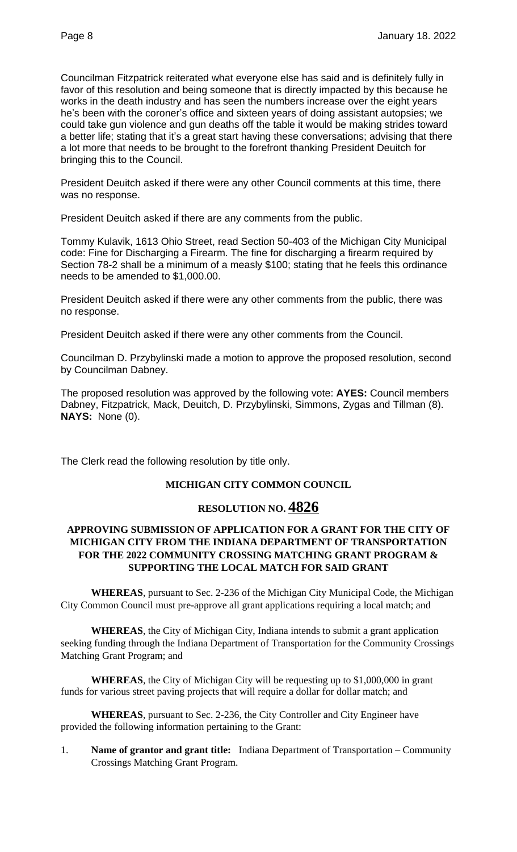Councilman Fitzpatrick reiterated what everyone else has said and is definitely fully in favor of this resolution and being someone that is directly impacted by this because he works in the death industry and has seen the numbers increase over the eight years he's been with the coroner's office and sixteen years of doing assistant autopsies; we could take gun violence and gun deaths off the table it would be making strides toward a better life; stating that it's a great start having these conversations; advising that there a lot more that needs to be brought to the forefront thanking President Deuitch for bringing this to the Council.

President Deuitch asked if there were any other Council comments at this time, there was no response.

President Deuitch asked if there are any comments from the public.

Tommy Kulavik, 1613 Ohio Street, read Section 50-403 of the Michigan City Municipal code: Fine for Discharging a Firearm. The fine for discharging a firearm required by Section 78-2 shall be a minimum of a measly \$100; stating that he feels this ordinance needs to be amended to \$1,000.00.

President Deuitch asked if there were any other comments from the public, there was no response.

President Deuitch asked if there were any other comments from the Council.

Councilman D. Przybylinski made a motion to approve the proposed resolution, second by Councilman Dabney.

The proposed resolution was approved by the following vote: **AYES:** Council members Dabney, Fitzpatrick, Mack, Deuitch, D. Przybylinski, Simmons, Zygas and Tillman (8). **NAYS:** None (0).

The Clerk read the following resolution by title only.

#### **MICHIGAN CITY COMMON COUNCIL**

# **RESOLUTION NO. 4826**

# **APPROVING SUBMISSION OF APPLICATION FOR A GRANT FOR THE CITY OF MICHIGAN CITY FROM THE INDIANA DEPARTMENT OF TRANSPORTATION FOR THE 2022 COMMUNITY CROSSING MATCHING GRANT PROGRAM & SUPPORTING THE LOCAL MATCH FOR SAID GRANT**

**WHEREAS**, pursuant to Sec. 2-236 of the Michigan City Municipal Code, the Michigan City Common Council must pre-approve all grant applications requiring a local match; and

**WHEREAS**, the City of Michigan City, Indiana intends to submit a grant application seeking funding through the Indiana Department of Transportation for the Community Crossings Matching Grant Program; and

**WHEREAS**, the City of Michigan City will be requesting up to \$1,000,000 in grant funds for various street paving projects that will require a dollar for dollar match; and

**WHEREAS**, pursuant to Sec. 2-236, the City Controller and City Engineer have provided the following information pertaining to the Grant:

1. **Name of grantor and grant title:** Indiana Department of Transportation – Community Crossings Matching Grant Program.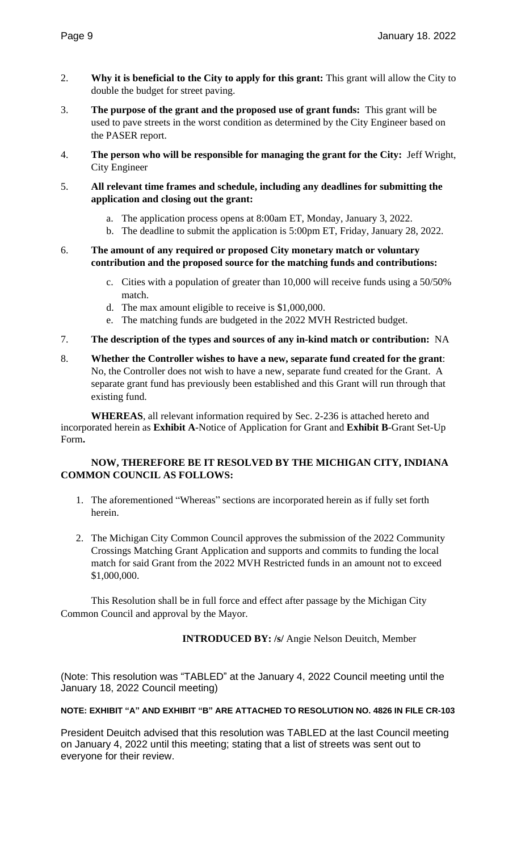- 2. **Why it is beneficial to the City to apply for this grant:** This grant will allow the City to double the budget for street paving.
- 3. **The purpose of the grant and the proposed use of grant funds:** This grant will be used to pave streets in the worst condition as determined by the City Engineer based on the PASER report.
- 4. **The person who will be responsible for managing the grant for the City:** Jeff Wright, City Engineer
- 5. **All relevant time frames and schedule, including any deadlines for submitting the application and closing out the grant:** 
	- a. The application process opens at 8:00am ET, Monday, January 3, 2022.
	- b. The deadline to submit the application is 5:00pm ET, Friday, January 28, 2022.
- 6. **The amount of any required or proposed City monetary match or voluntary contribution and the proposed source for the matching funds and contributions:** 
	- c. Cities with a population of greater than 10,000 will receive funds using a 50/50% match.
	- d. The max amount eligible to receive is \$1,000,000.
	- e. The matching funds are budgeted in the 2022 MVH Restricted budget.
- 7. **The description of the types and sources of any in-kind match or contribution:** NA
- 8. **Whether the Controller wishes to have a new, separate fund created for the grant**: No, the Controller does not wish to have a new, separate fund created for the Grant. A separate grant fund has previously been established and this Grant will run through that existing fund.

**WHEREAS**, all relevant information required by Sec. 2-236 is attached hereto and incorporated herein as **Exhibit A**-Notice of Application for Grant and **Exhibit B**-Grant Set-Up Form**.**

#### **NOW, THEREFORE BE IT RESOLVED BY THE MICHIGAN CITY, INDIANA COMMON COUNCIL AS FOLLOWS:**

- 1. The aforementioned "Whereas" sections are incorporated herein as if fully set forth herein.
- 2. The Michigan City Common Council approves the submission of the 2022 Community Crossings Matching Grant Application and supports and commits to funding the local match for said Grant from the 2022 MVH Restricted funds in an amount not to exceed \$1,000,000.

This Resolution shall be in full force and effect after passage by the Michigan City Common Council and approval by the Mayor.

**INTRODUCED BY: /s/** Angie Nelson Deuitch, Member

(Note: This resolution was "TABLED" at the January 4, 2022 Council meeting until the January 18, 2022 Council meeting)

#### **NOTE: EXHIBIT "A" AND EXHIBIT "B" ARE ATTACHED TO RESOLUTION NO. 4826 IN FILE CR-103**

President Deuitch advised that this resolution was TABLED at the last Council meeting on January 4, 2022 until this meeting; stating that a list of streets was sent out to everyone for their review.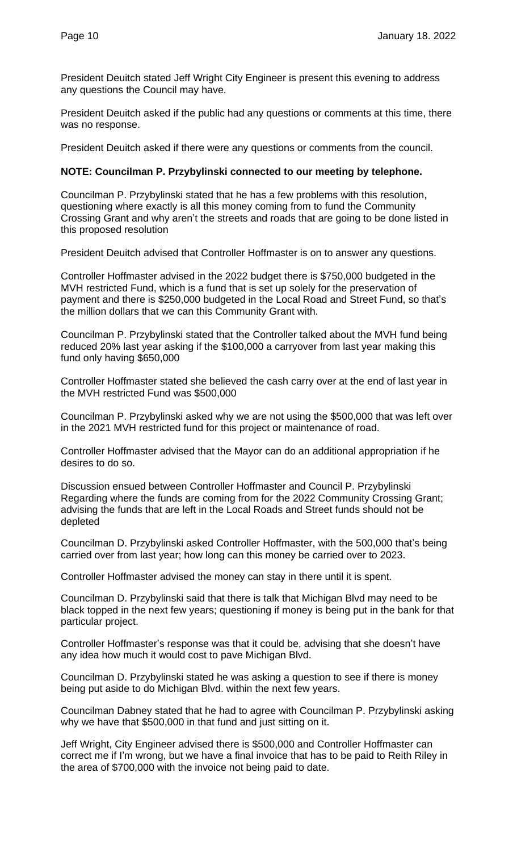President Deuitch stated Jeff Wright City Engineer is present this evening to address any questions the Council may have.

President Deuitch asked if the public had any questions or comments at this time, there was no response.

President Deuitch asked if there were any questions or comments from the council.

#### **NOTE: Councilman P. Przybylinski connected to our meeting by telephone.**

Councilman P. Przybylinski stated that he has a few problems with this resolution, questioning where exactly is all this money coming from to fund the Community Crossing Grant and why aren't the streets and roads that are going to be done listed in this proposed resolution

President Deuitch advised that Controller Hoffmaster is on to answer any questions.

Controller Hoffmaster advised in the 2022 budget there is \$750,000 budgeted in the MVH restricted Fund, which is a fund that is set up solely for the preservation of payment and there is \$250,000 budgeted in the Local Road and Street Fund, so that's the million dollars that we can this Community Grant with.

Councilman P. Przybylinski stated that the Controller talked about the MVH fund being reduced 20% last year asking if the \$100,000 a carryover from last year making this fund only having \$650,000

Controller Hoffmaster stated she believed the cash carry over at the end of last year in the MVH restricted Fund was \$500,000

Councilman P. Przybylinski asked why we are not using the \$500,000 that was left over in the 2021 MVH restricted fund for this project or maintenance of road.

Controller Hoffmaster advised that the Mayor can do an additional appropriation if he desires to do so.

Discussion ensued between Controller Hoffmaster and Council P. Przybylinski Regarding where the funds are coming from for the 2022 Community Crossing Grant; advising the funds that are left in the Local Roads and Street funds should not be depleted

Councilman D. Przybylinski asked Controller Hoffmaster, with the 500,000 that's being carried over from last year; how long can this money be carried over to 2023.

Controller Hoffmaster advised the money can stay in there until it is spent.

Councilman D. Przybylinski said that there is talk that Michigan Blvd may need to be black topped in the next few years; questioning if money is being put in the bank for that particular project.

Controller Hoffmaster's response was that it could be, advising that she doesn't have any idea how much it would cost to pave Michigan Blvd.

Councilman D. Przybylinski stated he was asking a question to see if there is money being put aside to do Michigan Blvd. within the next few years.

Councilman Dabney stated that he had to agree with Councilman P. Przybylinski asking why we have that \$500,000 in that fund and just sitting on it.

Jeff Wright, City Engineer advised there is \$500,000 and Controller Hoffmaster can correct me if I'm wrong, but we have a final invoice that has to be paid to Reith Riley in the area of \$700,000 with the invoice not being paid to date.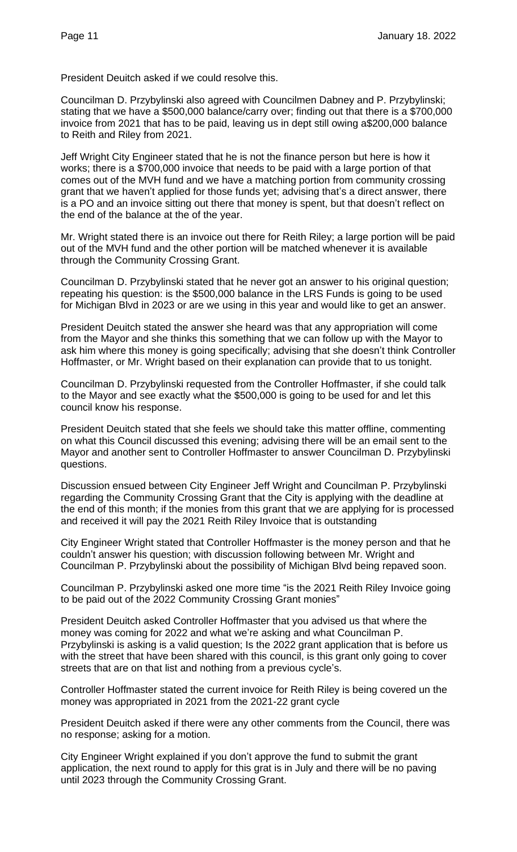President Deuitch asked if we could resolve this.

Councilman D. Przybylinski also agreed with Councilmen Dabney and P. Przybylinski; stating that we have a \$500,000 balance/carry over; finding out that there is a \$700,000 invoice from 2021 that has to be paid, leaving us in dept still owing a\$200,000 balance to Reith and Riley from 2021.

Jeff Wright City Engineer stated that he is not the finance person but here is how it works; there is a \$700,000 invoice that needs to be paid with a large portion of that comes out of the MVH fund and we have a matching portion from community crossing grant that we haven't applied for those funds yet; advising that's a direct answer, there is a PO and an invoice sitting out there that money is spent, but that doesn't reflect on the end of the balance at the of the year.

Mr. Wright stated there is an invoice out there for Reith Riley; a large portion will be paid out of the MVH fund and the other portion will be matched whenever it is available through the Community Crossing Grant.

Councilman D. Przybylinski stated that he never got an answer to his original question; repeating his question: is the \$500,000 balance in the LRS Funds is going to be used for Michigan Blvd in 2023 or are we using in this year and would like to get an answer.

President Deuitch stated the answer she heard was that any appropriation will come from the Mayor and she thinks this something that we can follow up with the Mayor to ask him where this money is going specifically; advising that she doesn't think Controller Hoffmaster, or Mr. Wright based on their explanation can provide that to us tonight.

Councilman D. Przybylinski requested from the Controller Hoffmaster, if she could talk to the Mayor and see exactly what the \$500,000 is going to be used for and let this council know his response.

President Deuitch stated that she feels we should take this matter offline, commenting on what this Council discussed this evening; advising there will be an email sent to the Mayor and another sent to Controller Hoffmaster to answer Councilman D. Przybylinski questions.

Discussion ensued between City Engineer Jeff Wright and Councilman P. Przybylinski regarding the Community Crossing Grant that the City is applying with the deadline at the end of this month; if the monies from this grant that we are applying for is processed and received it will pay the 2021 Reith Riley Invoice that is outstanding

City Engineer Wright stated that Controller Hoffmaster is the money person and that he couldn't answer his question; with discussion following between Mr. Wright and Councilman P. Przybylinski about the possibility of Michigan Blvd being repaved soon.

Councilman P. Przybylinski asked one more time "is the 2021 Reith Riley Invoice going to be paid out of the 2022 Community Crossing Grant monies"

President Deuitch asked Controller Hoffmaster that you advised us that where the money was coming for 2022 and what we're asking and what Councilman P. Przybylinski is asking is a valid question; Is the 2022 grant application that is before us with the street that have been shared with this council, is this grant only going to cover streets that are on that list and nothing from a previous cycle's.

Controller Hoffmaster stated the current invoice for Reith Riley is being covered un the money was appropriated in 2021 from the 2021-22 grant cycle

President Deuitch asked if there were any other comments from the Council, there was no response; asking for a motion.

City Engineer Wright explained if you don't approve the fund to submit the grant application, the next round to apply for this grat is in July and there will be no paving until 2023 through the Community Crossing Grant.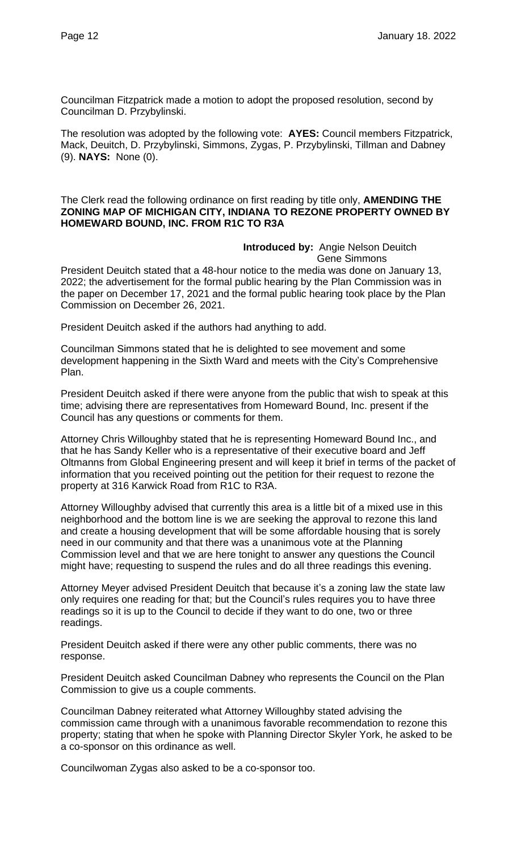Councilman Fitzpatrick made a motion to adopt the proposed resolution, second by Councilman D. Przybylinski.

The resolution was adopted by the following vote: **AYES:** Council members Fitzpatrick, Mack, Deuitch, D. Przybylinski, Simmons, Zygas, P. Przybylinski, Tillman and Dabney (9). **NAYS:** None (0).

The Clerk read the following ordinance on first reading by title only, **AMENDING THE ZONING MAP OF MICHIGAN CITY, INDIANA TO REZONE PROPERTY OWNED BY HOMEWARD BOUND, INC. FROM R1C TO R3A**

> **Introduced by:** Angie Nelson Deuitch Gene Simmons

President Deuitch stated that a 48-hour notice to the media was done on January 13, 2022; the advertisement for the formal public hearing by the Plan Commission was in the paper on December 17, 2021 and the formal public hearing took place by the Plan Commission on December 26, 2021.

President Deuitch asked if the authors had anything to add.

Councilman Simmons stated that he is delighted to see movement and some development happening in the Sixth Ward and meets with the City's Comprehensive Plan.

President Deuitch asked if there were anyone from the public that wish to speak at this time; advising there are representatives from Homeward Bound, Inc. present if the Council has any questions or comments for them.

Attorney Chris Willoughby stated that he is representing Homeward Bound Inc., and that he has Sandy Keller who is a representative of their executive board and Jeff Oltmanns from Global Engineering present and will keep it brief in terms of the packet of information that you received pointing out the petition for their request to rezone the property at 316 Karwick Road from R1C to R3A.

Attorney Willoughby advised that currently this area is a little bit of a mixed use in this neighborhood and the bottom line is we are seeking the approval to rezone this land and create a housing development that will be some affordable housing that is sorely need in our community and that there was a unanimous vote at the Planning Commission level and that we are here tonight to answer any questions the Council might have; requesting to suspend the rules and do all three readings this evening.

Attorney Meyer advised President Deuitch that because it's a zoning law the state law only requires one reading for that; but the Council's rules requires you to have three readings so it is up to the Council to decide if they want to do one, two or three readings.

President Deuitch asked if there were any other public comments, there was no response.

President Deuitch asked Councilman Dabney who represents the Council on the Plan Commission to give us a couple comments.

Councilman Dabney reiterated what Attorney Willoughby stated advising the commission came through with a unanimous favorable recommendation to rezone this property; stating that when he spoke with Planning Director Skyler York, he asked to be a co-sponsor on this ordinance as well.

Councilwoman Zygas also asked to be a co-sponsor too.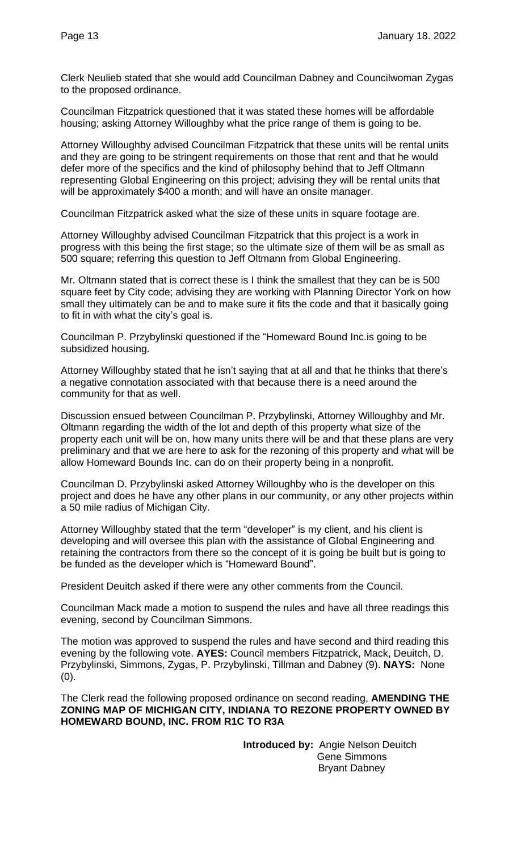Clerk Neulieb stated that she would add Councilman Dabney and Councilwoman Zygas to the proposed ordinance.

Councilman Fitzpatrick questioned that it was stated these homes will be affordable housing; asking Attorney Willoughby what the price range of them is going to be.

Attorney Willoughby advised Councilman Fitzpatrick that these units will be rental units and they are going to be stringent requirements on those that rent and that he would defer more of the specifics and the kind of philosophy behind that to Jeff Oltmann representing Global Engineering on this project; advising they will be rental units that will be approximately \$400 a month; and will have an onsite manager.

Councilman Fitzpatrick asked what the size of these units in square footage are.

Attorney Willoughby advised Councilman Fitzpatrick that this project is a work in progress with this being the first stage; so the ultimate size of them will be as small as 500 square; referring this question to Jeff Oltmann from Global Engineering.

Mr. Oltmann stated that is correct these is I think the smallest that they can be is 500 square feet by City code; advising they are working with Planning Director York on how small they ultimately can be and to make sure it fits the code and that it basically going to fit in with what the city's goal is.

Councilman P. Przybylinski questioned if the "Homeward Bound Inc.is going to be subsidized housing.

Attorney Willoughby stated that he isn't saying that at all and that he thinks that there's a negative connotation associated with that because there is a need around the community for that as well.

Discussion ensued between Councilman P. Przybylinski, Attorney Willoughby and Mr. Oltmann regarding the width of the lot and depth of this property what size of the property each unit will be on, how many units there will be and that these plans are very preliminary and that we are here to ask for the rezoning of this property and what will be allow Homeward Bounds Inc. can do on their property being in a nonprofit.

Councilman D. Przybylinski asked Attorney Willoughby who is the developer on this project and does he have any other plans in our community, or any other projects within a 50 mile radius of Michigan City.

Attorney Willoughby stated that the term "developer" is my client, and his client is developing and will oversee this plan with the assistance of Global Engineering and retaining the contractors from there so the concept of it is going be built but is going to be funded as the developer which is "Homeward Bound".

President Deuitch asked if there were any other comments from the Council.

Councilman Mack made a motion to suspend the rules and have all three readings this evening, second by Councilman Simmons.

The motion was approved to suspend the rules and have second and third reading this evening by the following vote. **AYES:** Council members Fitzpatrick, Mack, Deuitch, D. Przybylinski, Simmons, Zygas, P. Przybylinski, Tillman and Dabney (9). **NAYS:** None (0).

The Clerk read the following proposed ordinance on second reading, **AMENDING THE ZONING MAP OF MICHIGAN CITY, INDIANA TO REZONE PROPERTY OWNED BY HOMEWARD BOUND, INC. FROM R1C TO R3A**

> **Introduced by:** Angie Nelson Deuitch Gene Simmons Bryant Dabney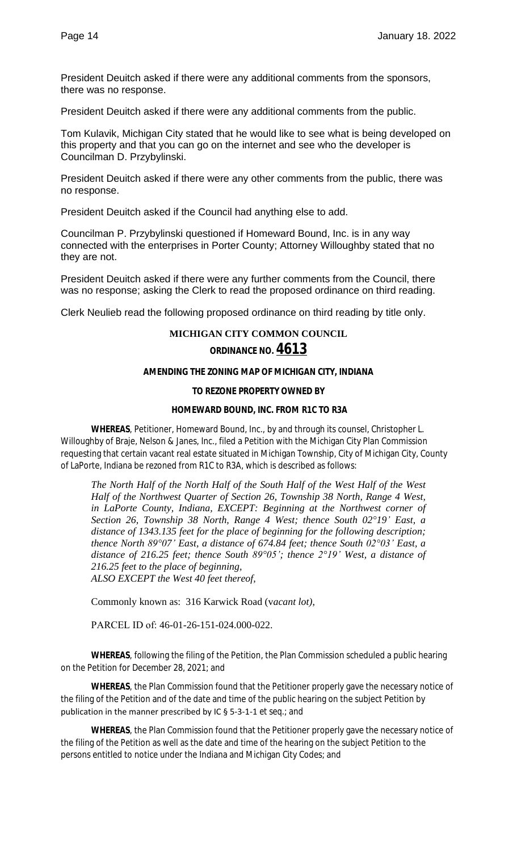President Deuitch asked if there were any additional comments from the sponsors, there was no response.

President Deuitch asked if there were any additional comments from the public.

Tom Kulavik, Michigan City stated that he would like to see what is being developed on this property and that you can go on the internet and see who the developer is Councilman D. Przybylinski.

President Deuitch asked if there were any other comments from the public, there was no response.

President Deuitch asked if the Council had anything else to add.

Councilman P. Przybylinski questioned if Homeward Bound, Inc. is in any way connected with the enterprises in Porter County; Attorney Willoughby stated that no they are not.

President Deuitch asked if there were any further comments from the Council, there was no response; asking the Clerk to read the proposed ordinance on third reading.

Clerk Neulieb read the following proposed ordinance on third reading by title only.

#### **MICHIGAN CITY COMMON COUNCIL**

#### **ORDINANCE NO. 4613**

#### **AMENDING THE ZONING MAP OF MICHIGAN CITY, INDIANA**

#### **TO REZONE PROPERTY OWNED BY**

#### **HOMEWARD BOUND, INC. FROM R1C TO R3A**

**WHEREAS**, Petitioner, Homeward Bound, Inc., by and through its counsel, Christopher L. Willoughby of Braje, Nelson & Janes, Inc., filed a Petition with the Michigan City Plan Commission requesting that certain vacant real estate situated in Michigan Township, City of Michigan City, County of LaPorte, Indiana be rezoned from R1C to R3A, which is described as follows:

*The North Half of the North Half of the South Half of the West Half of the West Half of the Northwest Quarter of Section 26, Township 38 North, Range 4 West, in LaPorte County, Indiana, EXCEPT: Beginning at the Northwest corner of Section 26, Township 38 North, Range 4 West; thence South 02°19' East, a distance of 1343.135 feet for the place of beginning for the following description; thence North 89°07' East, a distance of 674.84 feet; thence South 02°03' East, a distance of 216.25 feet; thence South 89°05'; thence 2°19' West, a distance of 216.25 feet to the place of beginning, ALSO EXCEPT the West 40 feet thereof,*

Commonly known as: 316 Karwick Road (v*acant lot)*,

PARCEL ID of: 46-01-26-151-024.000-022.

**WHEREAS**, following the filing of the Petition, the Plan Commission scheduled a public hearing on the Petition for December 28, 2021; and

**WHEREAS**, the Plan Commission found that the Petitioner properly gave the necessary notice of the filing of the Petition and of the date and time of the public hearing on the subject Petition by publication in the manner prescribed by IC § 5-3-1-1 *et seq*.; and

**WHEREAS**, the Plan Commission found that the Petitioner properly gave the necessary notice of the filing of the Petition as well as the date and time of the hearing on the subject Petition to the persons entitled to notice under the Indiana and Michigan City Codes; and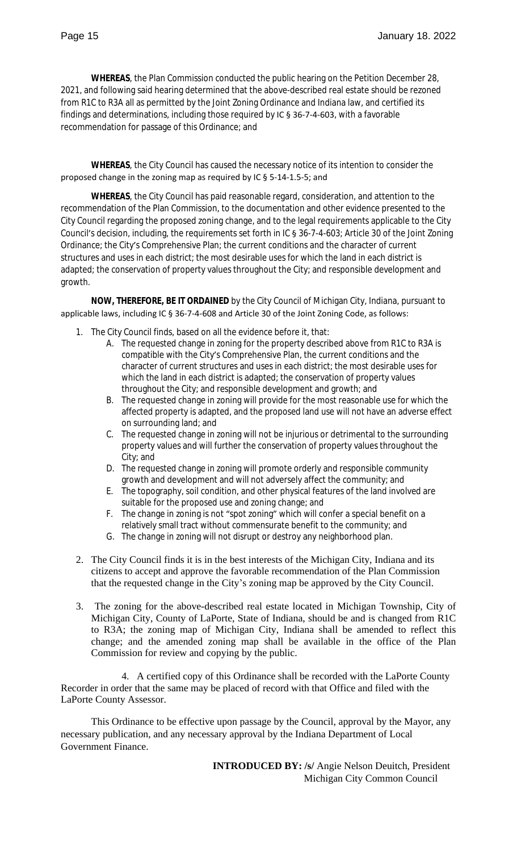**WHEREAS**, the Plan Commission conducted the public hearing on the Petition December 28, 2021, and following said hearing determined that the above-described real estate should be rezoned from R1C to R3A all as permitted by the Joint Zoning Ordinance and Indiana law, and certified its findings and determinations, including those required by IC § 36-7-4-603, with a favorable recommendation for passage of this Ordinance; and

**WHEREAS**, the City Council has caused the necessary notice of its intention to consider the proposed change in the zoning map as required by IC § 5-14-1.5-5; and

**WHEREAS**, the City Council has paid reasonable regard, consideration, and attention to the recommendation of the Plan Commission, to the documentation and other evidence presented to the City Council regarding the proposed zoning change, and to the legal requirements applicable to the City Council's decision, including, the requirements set forth in IC § 36-7-4-603; Article 30 of the Joint Zoning Ordinance; the City's Comprehensive Plan; the current conditions and the character of current structures and uses in each district; the most desirable uses for which the land in each district is adapted; the conservation of property values throughout the City; and responsible development and growth.

**NOW, THEREFORE, BE IT ORDAINED** by the City Council of Michigan City, Indiana, pursuant to applicable laws, including IC § 36-7-4-608 and Article 30 of the Joint Zoning Code, as follows:

- 1. The City Council finds, based on all the evidence before it, that:
	- A. The requested change in zoning for the property described above from R1C to R3A is compatible with the City's Comprehensive Plan, the current conditions and the character of current structures and uses in each district; the most desirable uses for which the land in each district is adapted; the conservation of property values throughout the City; and responsible development and growth; and
	- B. The requested change in zoning will provide for the most reasonable use for which the affected property is adapted, and the proposed land use will not have an adverse effect on surrounding land; and
	- C. The requested change in zoning will not be injurious or detrimental to the surrounding property values and will further the conservation of property values throughout the City; and
	- D. The requested change in zoning will promote orderly and responsible community growth and development and will not adversely affect the community; and
	- E. The topography, soil condition, and other physical features of the land involved are suitable for the proposed use and zoning change; and
	- F. The change in zoning is not "spot zoning" which will confer a special benefit on a relatively small tract without commensurate benefit to the community; and
	- G. The change in zoning will not disrupt or destroy any neighborhood plan.
- 2. The City Council finds it is in the best interests of the Michigan City, Indiana and its citizens to accept and approve the favorable recommendation of the Plan Commission that the requested change in the City's zoning map be approved by the City Council.
- 3. The zoning for the above-described real estate located in Michigan Township, City of Michigan City, County of LaPorte, State of Indiana, should be and is changed from R1C to R3A; the zoning map of Michigan City, Indiana shall be amended to reflect this change; and the amended zoning map shall be available in the office of the Plan Commission for review and copying by the public.

4. A certified copy of this Ordinance shall be recorded with the LaPorte County Recorder in order that the same may be placed of record with that Office and filed with the LaPorte County Assessor.

This Ordinance to be effective upon passage by the Council, approval by the Mayor, any necessary publication, and any necessary approval by the Indiana Department of Local Government Finance.

> **INTRODUCED BY: /s/** Angie Nelson Deuitch, President Michigan City Common Council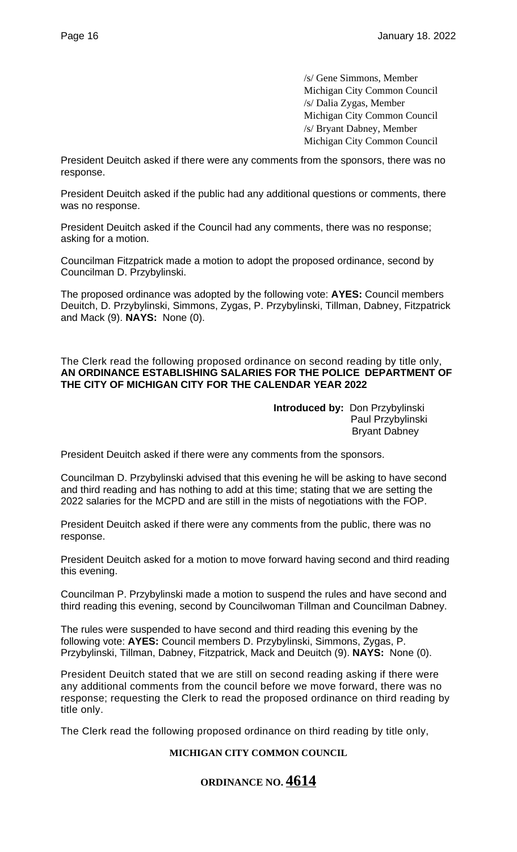/s/ Gene Simmons, Member Michigan City Common Council /s/ Dalia Zygas, Member Michigan City Common Council /s/ Bryant Dabney, Member Michigan City Common Council

President Deuitch asked if there were any comments from the sponsors, there was no response.

President Deuitch asked if the public had any additional questions or comments, there was no response.

President Deuitch asked if the Council had any comments, there was no response; asking for a motion.

Councilman Fitzpatrick made a motion to adopt the proposed ordinance, second by Councilman D. Przybylinski.

The proposed ordinance was adopted by the following vote: **AYES:** Council members Deuitch, D. Przybylinski, Simmons, Zygas, P. Przybylinski, Tillman, Dabney, Fitzpatrick and Mack (9). **NAYS:** None (0).

The Clerk read the following proposed ordinance on second reading by title only, **AN ORDINANCE ESTABLISHING SALARIES FOR THE POLICE DEPARTMENT OF THE CITY OF MICHIGAN CITY FOR THE CALENDAR YEAR 2022**

> **Introduced by:** Don Przybylinski Paul Przybylinski Bryant Dabney

President Deuitch asked if there were any comments from the sponsors.

Councilman D. Przybylinski advised that this evening he will be asking to have second and third reading and has nothing to add at this time; stating that we are setting the 2022 salaries for the MCPD and are still in the mists of negotiations with the FOP.

President Deuitch asked if there were any comments from the public, there was no response.

President Deuitch asked for a motion to move forward having second and third reading this evening.

Councilman P. Przybylinski made a motion to suspend the rules and have second and third reading this evening, second by Councilwoman Tillman and Councilman Dabney.

The rules were suspended to have second and third reading this evening by the following vote: **AYES:** Council members D. Przybylinski, Simmons, Zygas, P. Przybylinski, Tillman, Dabney, Fitzpatrick, Mack and Deuitch (9). **NAYS:** None (0).

President Deuitch stated that we are still on second reading asking if there were any additional comments from the council before we move forward, there was no response; requesting the Clerk to read the proposed ordinance on third reading by title only.

The Clerk read the following proposed ordinance on third reading by title only,

### **MICHIGAN CITY COMMON COUNCIL**

# **ORDINANCE NO. 4614**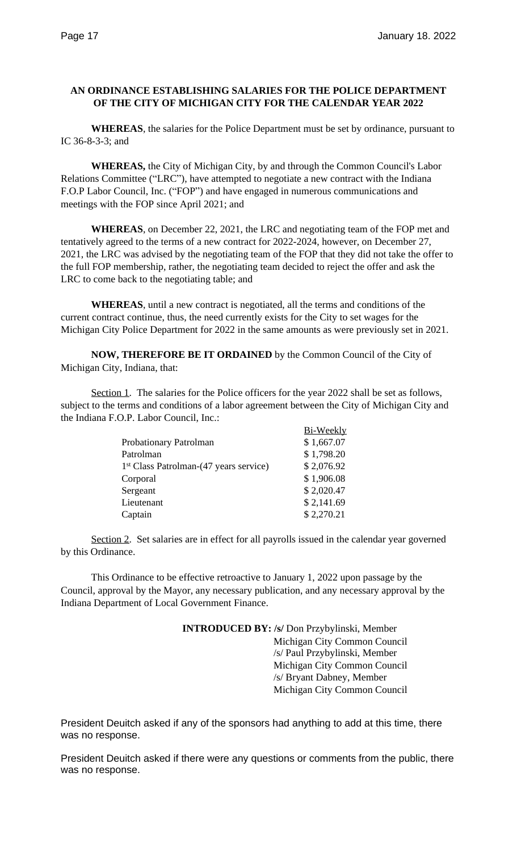#### **AN ORDINANCE ESTABLISHING SALARIES FOR THE POLICE DEPARTMENT OF THE CITY OF MICHIGAN CITY FOR THE CALENDAR YEAR 2022**

**WHEREAS**, the salaries for the Police Department must be set by ordinance, pursuant to IC 36-8-3-3; and

**WHEREAS,** the City of Michigan City, by and through the Common Council's Labor Relations Committee ("LRC"), have attempted to negotiate a new contract with the Indiana F.O.P Labor Council, Inc. ("FOP") and have engaged in numerous communications and meetings with the FOP since April 2021; and

**WHEREAS**, on December 22, 2021, the LRC and negotiating team of the FOP met and tentatively agreed to the terms of a new contract for 2022-2024, however, on December 27, 2021, the LRC was advised by the negotiating team of the FOP that they did not take the offer to the full FOP membership, rather, the negotiating team decided to reject the offer and ask the LRC to come back to the negotiating table; and

**WHEREAS**, until a new contract is negotiated, all the terms and conditions of the current contract continue, thus, the need currently exists for the City to set wages for the Michigan City Police Department for 2022 in the same amounts as were previously set in 2021.

**NOW, THEREFORE BE IT ORDAINED** by the Common Council of the City of Michigan City, Indiana, that:

Section 1. The salaries for the Police officers for the year 2022 shall be set as follows, subject to the terms and conditions of a labor agreement between the City of Michigan City and the Indiana F.O.P. Labor Council, Inc.:

|                                                    | Bi-Weekly  |
|----------------------------------------------------|------------|
| Probationary Patrolman                             | \$1,667.07 |
| Patrolman                                          | \$1,798.20 |
| 1 <sup>st</sup> Class Patrolman-(47 years service) | \$2,076.92 |
| Corporal                                           | \$1,906.08 |
| Sergeant                                           | \$2,020.47 |
| Lieutenant                                         | \$2,141.69 |
| Captain                                            | \$2,270.21 |
|                                                    |            |

Section 2. Set salaries are in effect for all payrolls issued in the calendar year governed by this Ordinance.

This Ordinance to be effective retroactive to January 1, 2022 upon passage by the Council, approval by the Mayor, any necessary publication, and any necessary approval by the Indiana Department of Local Government Finance.

> **INTRODUCED BY: /s/** Don Przybylinski, Member Michigan City Common Council /s/ Paul Przybylinski, Member Michigan City Common Council /s/ Bryant Dabney, Member Michigan City Common Council

President Deuitch asked if any of the sponsors had anything to add at this time, there was no response.

President Deuitch asked if there were any questions or comments from the public, there was no response.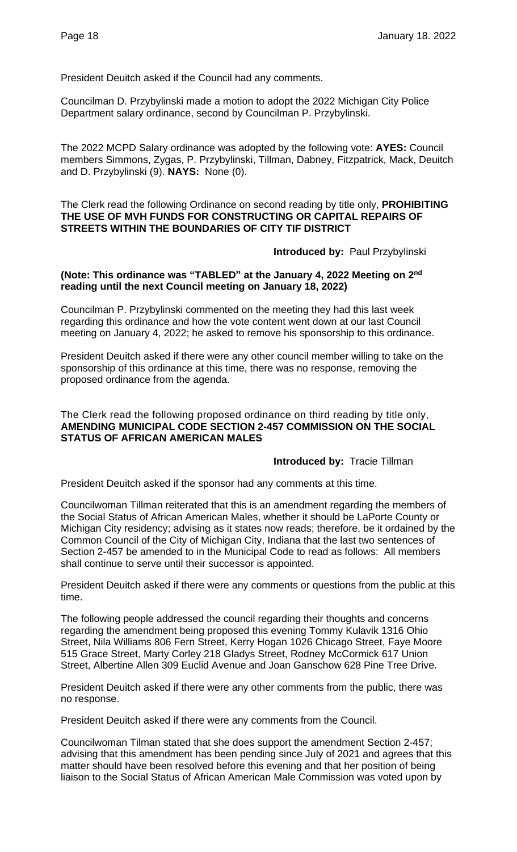President Deuitch asked if the Council had any comments.

Councilman D. Przybylinski made a motion to adopt the 2022 Michigan City Police Department salary ordinance, second by Councilman P. Przybylinski.

The 2022 MCPD Salary ordinance was adopted by the following vote: **AYES:** Council members Simmons, Zygas, P. Przybylinski, Tillman, Dabney, Fitzpatrick, Mack, Deuitch and D. Przybylinski (9). **NAYS:** None (0).

The Clerk read the following Ordinance on second reading by title only, **PROHIBITING THE USE OF MVH FUNDS FOR CONSTRUCTING OR CAPITAL REPAIRS OF STREETS WITHIN THE BOUNDARIES OF CITY TIF DISTRICT**

**Introduced by:** Paul Przybylinski

#### **(Note: This ordinance was "TABLED" at the January 4, 2022 Meeting on 2nd reading until the next Council meeting on January 18, 2022)**

Councilman P. Przybylinski commented on the meeting they had this last week regarding this ordinance and how the vote content went down at our last Council meeting on January 4, 2022; he asked to remove his sponsorship to this ordinance.

President Deuitch asked if there were any other council member willing to take on the sponsorship of this ordinance at this time, there was no response, removing the proposed ordinance from the agenda.

The Clerk read the following proposed ordinance on third reading by title only, **AMENDING MUNICIPAL CODE SECTION 2-457 COMMISSION ON THE SOCIAL STATUS OF AFRICAN AMERICAN MALES**

#### **Introduced by:** Tracie Tillman

President Deuitch asked if the sponsor had any comments at this time.

Councilwoman Tillman reiterated that this is an amendment regarding the members of the Social Status of African American Males, whether it should be LaPorte County or Michigan City residency; advising as it states now reads; therefore, be it ordained by the Common Council of the City of Michigan City, Indiana that the last two sentences of Section 2-457 be amended to in the Municipal Code to read as follows: All members shall continue to serve until their successor is appointed.

President Deuitch asked if there were any comments or questions from the public at this time.

The following people addressed the council regarding their thoughts and concerns regarding the amendment being proposed this evening Tommy Kulavik 1316 Ohio Street, Nila Williams 806 Fern Street, Kerry Hogan 1026 Chicago Street, Faye Moore 515 Grace Street, Marty Corley 218 Gladys Street, Rodney McCormick 617 Union Street, Albertine Allen 309 Euclid Avenue and Joan Ganschow 628 Pine Tree Drive.

President Deuitch asked if there were any other comments from the public, there was no response.

President Deuitch asked if there were any comments from the Council.

Councilwoman Tilman stated that she does support the amendment Section 2-457; advising that this amendment has been pending since July of 2021 and agrees that this matter should have been resolved before this evening and that her position of being liaison to the Social Status of African American Male Commission was voted upon by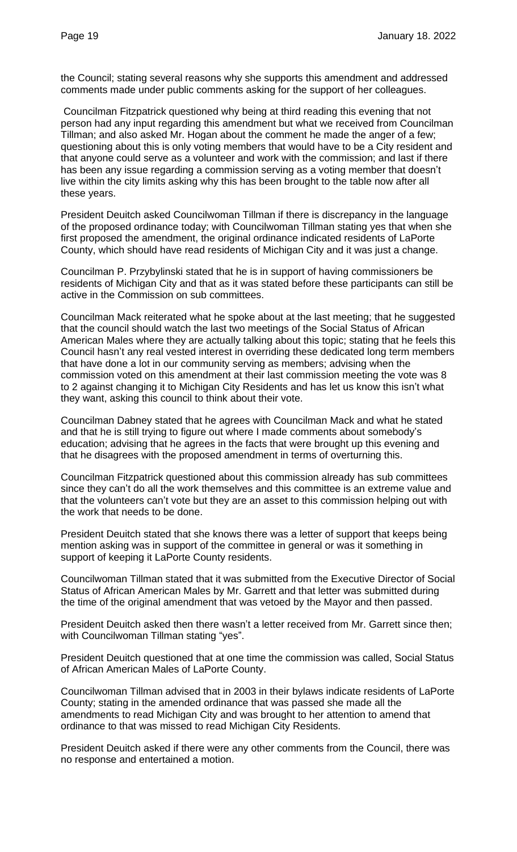the Council; stating several reasons why she supports this amendment and addressed comments made under public comments asking for the support of her colleagues.

Councilman Fitzpatrick questioned why being at third reading this evening that not person had any input regarding this amendment but what we received from Councilman Tillman; and also asked Mr. Hogan about the comment he made the anger of a few; questioning about this is only voting members that would have to be a City resident and that anyone could serve as a volunteer and work with the commission; and last if there has been any issue regarding a commission serving as a voting member that doesn't live within the city limits asking why this has been brought to the table now after all these years.

President Deuitch asked Councilwoman Tillman if there is discrepancy in the language of the proposed ordinance today; with Councilwoman Tillman stating yes that when she first proposed the amendment, the original ordinance indicated residents of LaPorte County, which should have read residents of Michigan City and it was just a change.

Councilman P. Przybylinski stated that he is in support of having commissioners be residents of Michigan City and that as it was stated before these participants can still be active in the Commission on sub committees.

Councilman Mack reiterated what he spoke about at the last meeting; that he suggested that the council should watch the last two meetings of the Social Status of African American Males where they are actually talking about this topic; stating that he feels this Council hasn't any real vested interest in overriding these dedicated long term members that have done a lot in our community serving as members; advising when the commission voted on this amendment at their last commission meeting the vote was 8 to 2 against changing it to Michigan City Residents and has let us know this isn't what they want, asking this council to think about their vote.

Councilman Dabney stated that he agrees with Councilman Mack and what he stated and that he is still trying to figure out where I made comments about somebody's education; advising that he agrees in the facts that were brought up this evening and that he disagrees with the proposed amendment in terms of overturning this.

Councilman Fitzpatrick questioned about this commission already has sub committees since they can't do all the work themselves and this committee is an extreme value and that the volunteers can't vote but they are an asset to this commission helping out with the work that needs to be done.

President Deuitch stated that she knows there was a letter of support that keeps being mention asking was in support of the committee in general or was it something in support of keeping it LaPorte County residents.

Councilwoman Tillman stated that it was submitted from the Executive Director of Social Status of African American Males by Mr. Garrett and that letter was submitted during the time of the original amendment that was vetoed by the Mayor and then passed.

President Deuitch asked then there wasn't a letter received from Mr. Garrett since then; with Councilwoman Tillman stating "yes".

President Deuitch questioned that at one time the commission was called, Social Status of African American Males of LaPorte County.

Councilwoman Tillman advised that in 2003 in their bylaws indicate residents of LaPorte County; stating in the amended ordinance that was passed she made all the amendments to read Michigan City and was brought to her attention to amend that ordinance to that was missed to read Michigan City Residents.

President Deuitch asked if there were any other comments from the Council, there was no response and entertained a motion.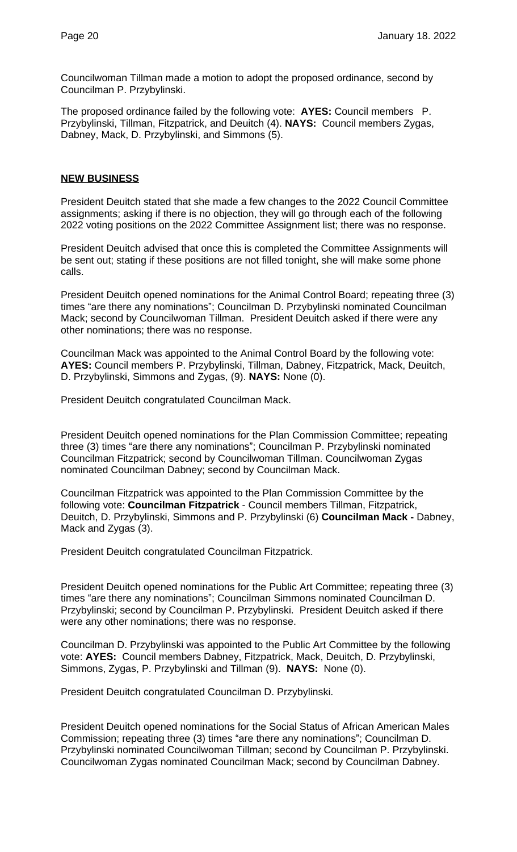Councilwoman Tillman made a motion to adopt the proposed ordinance, second by Councilman P. Przybylinski.

The proposed ordinance failed by the following vote: **AYES:** Council members P. Przybylinski, Tillman, Fitzpatrick, and Deuitch (4). **NAYS:** Council members Zygas, Dabney, Mack, D. Przybylinski, and Simmons (5).

#### **NEW BUSINESS**

President Deuitch stated that she made a few changes to the 2022 Council Committee assignments; asking if there is no objection, they will go through each of the following 2022 voting positions on the 2022 Committee Assignment list; there was no response.

President Deuitch advised that once this is completed the Committee Assignments will be sent out; stating if these positions are not filled tonight, she will make some phone calls.

President Deuitch opened nominations for the Animal Control Board; repeating three (3) times "are there any nominations"; Councilman D. Przybylinski nominated Councilman Mack; second by Councilwoman Tillman. President Deuitch asked if there were any other nominations; there was no response.

Councilman Mack was appointed to the Animal Control Board by the following vote: **AYES:** Council members P. Przybylinski, Tillman, Dabney, Fitzpatrick, Mack, Deuitch, D. Przybylinski, Simmons and Zygas, (9). **NAYS:** None (0).

President Deuitch congratulated Councilman Mack.

President Deuitch opened nominations for the Plan Commission Committee; repeating three (3) times "are there any nominations"; Councilman P. Przybylinski nominated Councilman Fitzpatrick; second by Councilwoman Tillman. Councilwoman Zygas nominated Councilman Dabney; second by Councilman Mack.

Councilman Fitzpatrick was appointed to the Plan Commission Committee by the following vote: **Councilman Fitzpatrick** - Council members Tillman, Fitzpatrick, Deuitch, D. Przybylinski, Simmons and P. Przybylinski (6) **Councilman Mack -** Dabney, Mack and Zygas (3).

President Deuitch congratulated Councilman Fitzpatrick.

President Deuitch opened nominations for the Public Art Committee; repeating three (3) times "are there any nominations"; Councilman Simmons nominated Councilman D. Przybylinski; second by Councilman P. Przybylinski. President Deuitch asked if there were any other nominations; there was no response.

Councilman D. Przybylinski was appointed to the Public Art Committee by the following vote: **AYES:** Council members Dabney, Fitzpatrick, Mack, Deuitch, D. Przybylinski, Simmons, Zygas, P. Przybylinski and Tillman (9). **NAYS:** None (0).

President Deuitch congratulated Councilman D. Przybylinski.

President Deuitch opened nominations for the Social Status of African American Males Commission; repeating three (3) times "are there any nominations"; Councilman D. Przybylinski nominated Councilwoman Tillman; second by Councilman P. Przybylinski. Councilwoman Zygas nominated Councilman Mack; second by Councilman Dabney.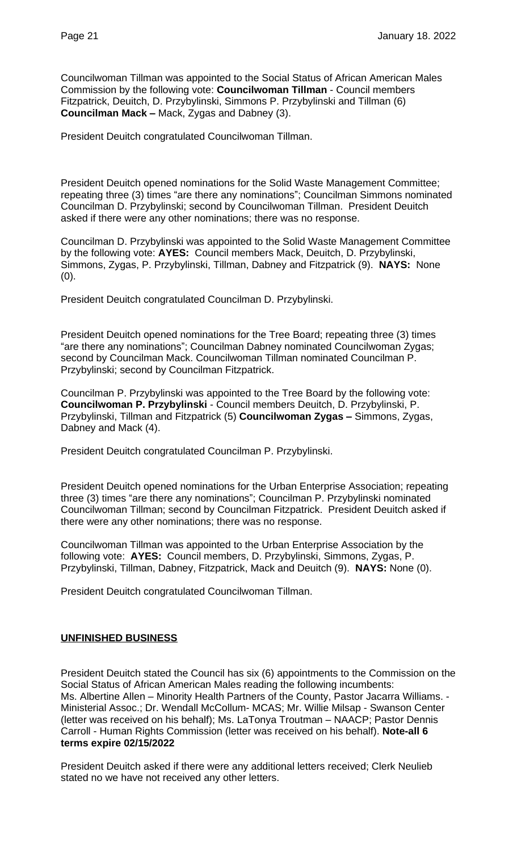Councilwoman Tillman was appointed to the Social Status of African American Males Commission by the following vote: **Councilwoman Tillman** - Council members Fitzpatrick, Deuitch, D. Przybylinski, Simmons P. Przybylinski and Tillman (6) **Councilman Mack –** Mack, Zygas and Dabney (3).

President Deuitch congratulated Councilwoman Tillman.

President Deuitch opened nominations for the Solid Waste Management Committee; repeating three (3) times "are there any nominations"; Councilman Simmons nominated Councilman D. Przybylinski; second by Councilwoman Tillman. President Deuitch asked if there were any other nominations; there was no response.

Councilman D. Przybylinski was appointed to the Solid Waste Management Committee by the following vote: **AYES:** Council members Mack, Deuitch, D. Przybylinski, Simmons, Zygas, P. Przybylinski, Tillman, Dabney and Fitzpatrick (9). **NAYS:** None  $(0).$ 

President Deuitch congratulated Councilman D. Przybylinski.

President Deuitch opened nominations for the Tree Board; repeating three (3) times "are there any nominations"; Councilman Dabney nominated Councilwoman Zygas; second by Councilman Mack. Councilwoman Tillman nominated Councilman P. Przybylinski; second by Councilman Fitzpatrick.

Councilman P. Przybylinski was appointed to the Tree Board by the following vote: **Councilwoman P. Przybylinski** - Council members Deuitch, D. Przybylinski, P. Przybylinski, Tillman and Fitzpatrick (5) **Councilwoman Zygas –** Simmons, Zygas, Dabney and Mack (4).

President Deuitch congratulated Councilman P. Przybylinski.

President Deuitch opened nominations for the Urban Enterprise Association; repeating three (3) times "are there any nominations"; Councilman P. Przybylinski nominated Councilwoman Tillman; second by Councilman Fitzpatrick. President Deuitch asked if there were any other nominations; there was no response.

Councilwoman Tillman was appointed to the Urban Enterprise Association by the following vote: **AYES:** Council members, D. Przybylinski, Simmons, Zygas, P. Przybylinski, Tillman, Dabney, Fitzpatrick, Mack and Deuitch (9). **NAYS:** None (0).

President Deuitch congratulated Councilwoman Tillman.

#### **UNFINISHED BUSINESS**

President Deuitch stated the Council has six (6) appointments to the Commission on the Social Status of African American Males reading the following incumbents: Ms. Albertine Allen – Minority Health Partners of the County, Pastor Jacarra Williams. - Ministerial Assoc.; Dr. Wendall McCollum- MCAS; Mr. Willie Milsap - Swanson Center (letter was received on his behalf); Ms. LaTonya Troutman – NAACP; Pastor Dennis Carroll - Human Rights Commission (letter was received on his behalf). **Note-all 6 terms expire 02/15/2022**

President Deuitch asked if there were any additional letters received; Clerk Neulieb stated no we have not received any other letters.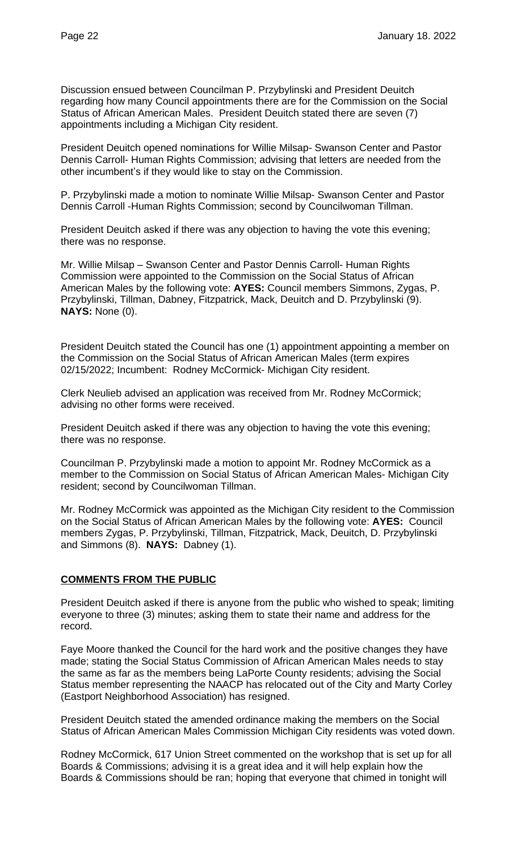Discussion ensued between Councilman P. Przybylinski and President Deuitch regarding how many Council appointments there are for the Commission on the Social Status of African American Males. President Deuitch stated there are seven (7) appointments including a Michigan City resident.

President Deuitch opened nominations for Willie Milsap- Swanson Center and Pastor Dennis Carroll- Human Rights Commission; advising that letters are needed from the other incumbent's if they would like to stay on the Commission.

P. Przybylinski made a motion to nominate Willie Milsap- Swanson Center and Pastor Dennis Carroll -Human Rights Commission; second by Councilwoman Tillman.

President Deuitch asked if there was any objection to having the vote this evening; there was no response.

Mr. Willie Milsap – Swanson Center and Pastor Dennis Carroll- Human Rights Commission were appointed to the Commission on the Social Status of African American Males by the following vote: **AYES:** Council members Simmons, Zygas, P. Przybylinski, Tillman, Dabney, Fitzpatrick, Mack, Deuitch and D. Przybylinski (9). **NAYS:** None (0).

President Deuitch stated the Council has one (1) appointment appointing a member on the Commission on the Social Status of African American Males (term expires 02/15/2022; Incumbent: Rodney McCormick- Michigan City resident.

Clerk Neulieb advised an application was received from Mr. Rodney McCormick; advising no other forms were received.

President Deuitch asked if there was any objection to having the vote this evening; there was no response.

Councilman P. Przybylinski made a motion to appoint Mr. Rodney McCormick as a member to the Commission on Social Status of African American Males- Michigan City resident; second by Councilwoman Tillman.

Mr. Rodney McCormick was appointed as the Michigan City resident to the Commission on the Social Status of African American Males by the following vote: **AYES:** Council members Zygas, P. Przybylinski, Tillman, Fitzpatrick, Mack, Deuitch, D. Przybylinski and Simmons (8). **NAYS:** Dabney (1).

#### **COMMENTS FROM THE PUBLIC**

President Deuitch asked if there is anyone from the public who wished to speak; limiting everyone to three (3) minutes; asking them to state their name and address for the record.

Faye Moore thanked the Council for the hard work and the positive changes they have made; stating the Social Status Commission of African American Males needs to stay the same as far as the members being LaPorte County residents; advising the Social Status member representing the NAACP has relocated out of the City and Marty Corley (Eastport Neighborhood Association) has resigned.

President Deuitch stated the amended ordinance making the members on the Social Status of African American Males Commission Michigan City residents was voted down.

Rodney McCormick, 617 Union Street commented on the workshop that is set up for all Boards & Commissions; advising it is a great idea and it will help explain how the Boards & Commissions should be ran; hoping that everyone that chimed in tonight will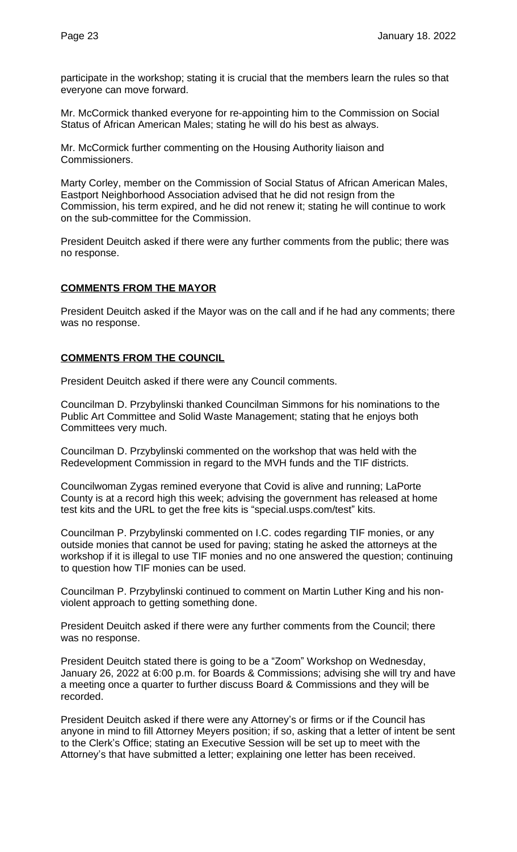participate in the workshop; stating it is crucial that the members learn the rules so that everyone can move forward.

Mr. McCormick thanked everyone for re-appointing him to the Commission on Social Status of African American Males; stating he will do his best as always.

Mr. McCormick further commenting on the Housing Authority liaison and Commissioners.

Marty Corley, member on the Commission of Social Status of African American Males, Eastport Neighborhood Association advised that he did not resign from the Commission, his term expired, and he did not renew it; stating he will continue to work on the sub-committee for the Commission.

President Deuitch asked if there were any further comments from the public; there was no response.

# **COMMENTS FROM THE MAYOR**

President Deuitch asked if the Mayor was on the call and if he had any comments; there was no response.

#### **COMMENTS FROM THE COUNCIL**

President Deuitch asked if there were any Council comments.

Councilman D. Przybylinski thanked Councilman Simmons for his nominations to the Public Art Committee and Solid Waste Management; stating that he enjoys both Committees very much.

Councilman D. Przybylinski commented on the workshop that was held with the Redevelopment Commission in regard to the MVH funds and the TIF districts.

Councilwoman Zygas remined everyone that Covid is alive and running; LaPorte County is at a record high this week; advising the government has released at home test kits and the URL to get the free kits is "special.usps.com/test" kits.

Councilman P. Przybylinski commented on I.C. codes regarding TIF monies, or any outside monies that cannot be used for paving; stating he asked the attorneys at the workshop if it is illegal to use TIF monies and no one answered the question; continuing to question how TIF monies can be used.

Councilman P. Przybylinski continued to comment on Martin Luther King and his nonviolent approach to getting something done.

President Deuitch asked if there were any further comments from the Council; there was no response.

President Deuitch stated there is going to be a "Zoom" Workshop on Wednesday, January 26, 2022 at 6:00 p.m. for Boards & Commissions; advising she will try and have a meeting once a quarter to further discuss Board & Commissions and they will be recorded.

President Deuitch asked if there were any Attorney's or firms or if the Council has anyone in mind to fill Attorney Meyers position; if so, asking that a letter of intent be sent to the Clerk's Office; stating an Executive Session will be set up to meet with the Attorney's that have submitted a letter; explaining one letter has been received.